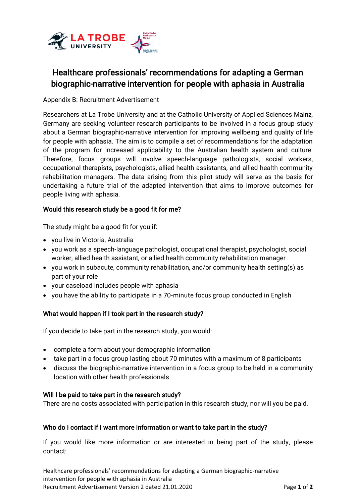

# Healthcare professionals' recommendations for adapting a German biographic-narrative intervention for people with aphasia in Australia

Appendix B: Recruitment Advertisement

Researchers at La Trobe University and at the Catholic University of Applied Sciences Mainz, Germany are seeking volunteer research participants to be involved in a focus group study about a German biographic-narrative intervention for improving wellbeing and quality of life for people with aphasia. The aim is to compile a set of recommendations for the adaptation of the program for increased applicability to the Australian health system and culture. Therefore, focus groups will involve speech-language pathologists, social workers, occupational therapists, psychologists, allied health assistants, and allied health community rehabilitation managers. The data arising from this pilot study will serve as the basis for undertaking a future trial of the adapted intervention that aims to improve outcomes for people living with aphasia.

## Would this research study be a good fit for me?

The study might be a good fit for you if:

- you live in Victoria, Australia
- you work as a speech-language pathologist, occupational therapist, psychologist, social worker, allied health assistant, or allied health community rehabilitation manager
- you work in subacute, community rehabilitation, and/or community health setting(s) as part of your role
- your caseload includes people with aphasia
- you have the ability to participate in a 70-minute focus group conducted in English

## What would happen if I took part in the research study?

If you decide to take part in the research study, you would:

- complete a form about your demographic information
- take part in a focus group lasting about 70 minutes with a maximum of 8 participants
- discuss the biographic-narrative intervention in a focus group to be held in a community location with other health professionals

### Will I be paid to take part in the research study?

There are no costs associated with participation in this research study, nor will you be paid.

## Who do I contact if I want more information or want to take part in the study?

If you would like more information or are interested in being part of the study, please contact:

Healthcare professionals' recommendations for adapting a German biographic-narrative intervention for people with aphasia in Australia Recruitment Advertisement Version 2 dated 21.01.2020 Page **1** of **2**